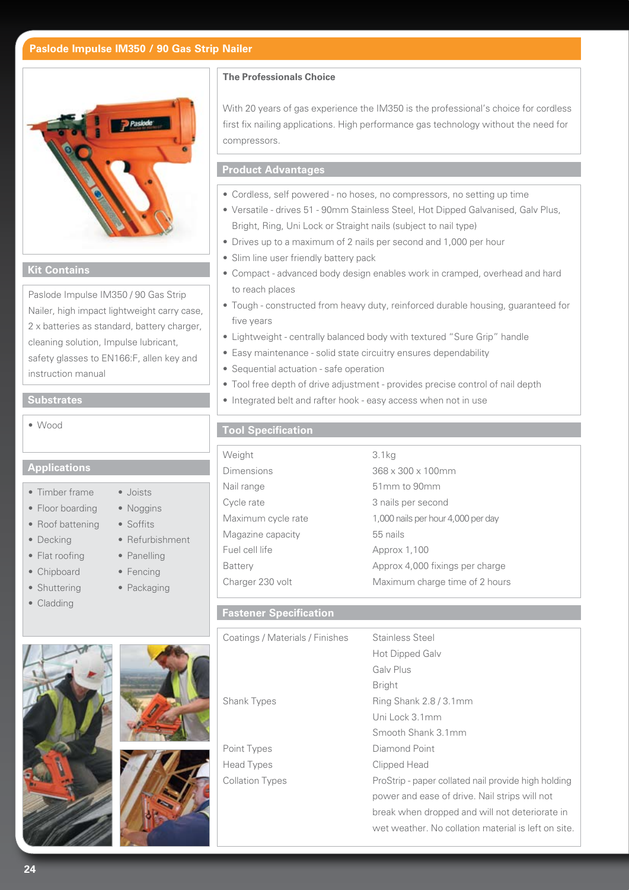# **Paslode Impulse IM350 / 90 Gas Strip Nailer**



#### **Kit Contains**

Paslode Impulse IM350 / 90 Gas Strip Nailer, high impact lightweight carry case, 2 x batteries as standard, battery charger, cleaning solution, Impulse lubricant, safety glasses to EN166:F, allen key and instruction manual

#### **Substrates**

• Wood

### **Applications**

- Timber frame Joists
- Floor boarding Noggins
- Roof battening Soffits
- 
- Flat roofing Panelling
- Chipboard Fencing
- Shuttering Packaging
- Cladding

- 
- Decking Refurbishment
	-
	-
	-



| Point Type |
|------------|
| Head Type  |
| Collation  |
|            |

## **The Professionals Choice**

With 20 years of gas experience the IM350 is the professional's choice for cordless first fix nailing applications. High performance gas technology without the need for compressors.

# **Product Advantages**

- Cordless, self powered no hoses, no compressors, no setting up time
- Versatile drives 51 90mm Stainless Steel, Hot Dipped Galvanised, Galv Plus, Bright, Ring, Uni Lock or Straight nails (subject to nail type)
- Drives up to a maximum of 2 nails per second and 1,000 per hour
- Slim line user friendly battery pack
- Compact advanced body design enables work in cramped, overhead and hard to reach places
- Tough constructed from heavy duty, reinforced durable housing, guaranteed for five years
- Lightweight centrally balanced body with textured "Sure Grip" handle
- Easy maintenance solid state circuitry ensures dependability
- Sequential actuation safe operation
- Tool free depth of drive adjustment provides precise control of nail depth
- Integrated belt and rafter hook easy access when not in use

## **Tool Specification**

| Weight             | 3.1 <sub>kq</sub>                  |
|--------------------|------------------------------------|
| <b>Dimensions</b>  | 368 x 300 x 100mm                  |
| Nail range         | 51mm to 90mm                       |
| Cycle rate         | 3 nails per second                 |
| Maximum cycle rate | 1,000 nails per hour 4,000 per day |
| Magazine capacity  | 55 nails                           |
| Fuel cell life     | Approx 1,100                       |
| <b>Battery</b>     | Approx 4,000 fixings per charge    |
| Charger 230 volt   | Maximum charge time of 2 hours     |
|                    |                                    |

# **Fastener Specification**

| Coatings / Materials / Finishes | Stainless Steel                                     |  |  |  |
|---------------------------------|-----------------------------------------------------|--|--|--|
|                                 | Hot Dipped Galv                                     |  |  |  |
|                                 | Galv Plus                                           |  |  |  |
|                                 | <b>Bright</b>                                       |  |  |  |
| <b>Shank Types</b>              | Ring Shank $2.8/3.1$ mm                             |  |  |  |
|                                 | Uni Lock 3.1mm                                      |  |  |  |
|                                 | Smooth Shank 3.1mm                                  |  |  |  |
| Point Types                     | Diamond Point                                       |  |  |  |
| Head Types                      | Clipped Head                                        |  |  |  |
| <b>Collation Types</b>          | ProStrip - paper collated nail provide high holding |  |  |  |
|                                 | power and ease of drive. Nail strips will not       |  |  |  |
|                                 | break when dropped and will not deteriorate in      |  |  |  |
|                                 | wet weather. No collation material is left on site. |  |  |  |
|                                 |                                                     |  |  |  |